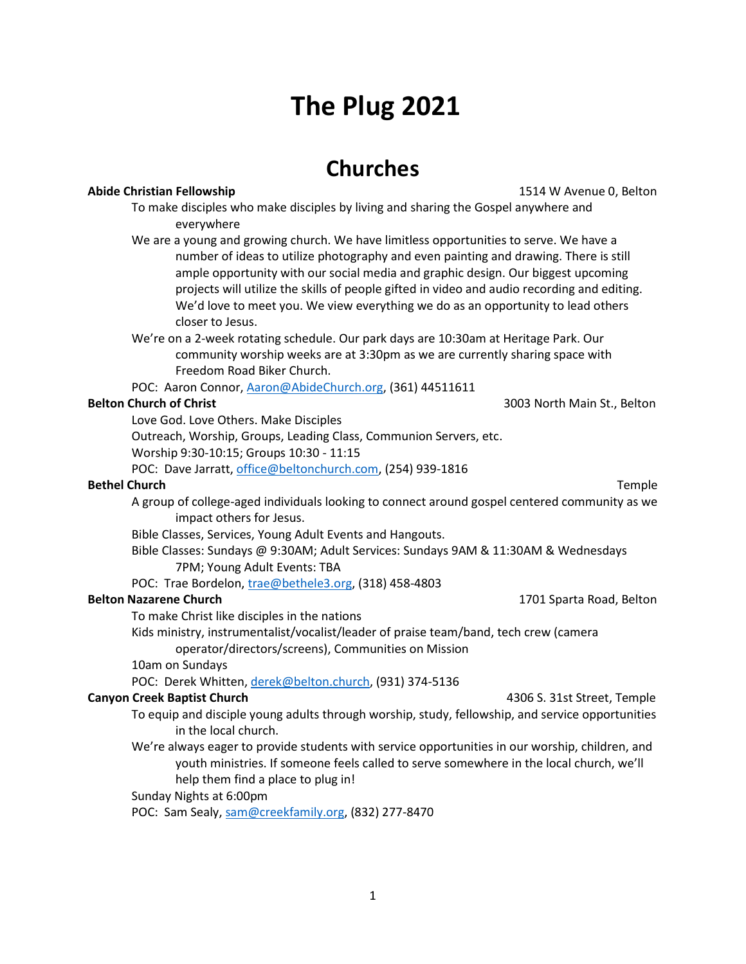# **The Plug 2021**

## **Churches**

### **Abide Christian Fellowship** 1514 W Avenue 0, Belton

- To make disciples who make disciples by living and sharing the Gospel anywhere and everywhere
- We are a young and growing church. We have limitless opportunities to serve. We have a number of ideas to utilize photography and even painting and drawing. There is still ample opportunity with our social media and graphic design. Our biggest upcoming projects will utilize the skills of people gifted in video and audio recording and editing. We'd love to meet you. We view everything we do as an opportunity to lead others closer to Jesus.
- We're on a 2-week rotating schedule. Our park days are 10:30am at Heritage Park. Our community worship weeks are at 3:30pm as we are currently sharing space with Freedom Road Biker Church.
- POC: Aaron Connor[, Aaron@AbideChurch.org,](mailto:Aaron@AbideChurch.org) (361) 44511611

**Belton Church of Christ** 3003 North Main St., Belton 3003 North Main St., Belton

Love God. Love Others. Make Disciples

Outreach, Worship, Groups, Leading Class, Communion Servers, etc. Worship 9:30-10:15; Groups 10:30 - 11:15 POC: Dave Jarratt, [office@beltonchurch.com,](mailto:office@beltonchurch.com) (254) 939-1816

### **Bethel Church** Temple

A group of college-aged individuals looking to connect around gospel centered community as we impact others for Jesus.

Bible Classes, Services, Young Adult Events and Hangouts.

- Bible Classes: Sundays @ 9:30AM; Adult Services: Sundays 9AM & 11:30AM & Wednesdays 7PM; Young Adult Events: TBA
- POC: Trae Bordelon, [trae@bethele3.org,](mailto:trae@bethele3.org) (318) 458-4803

### **Belton Nazarene Church** 1701 Sparta Road, Belton 1701 Sparta Road, Belton 1701 Sparta Road, Belton 1701 Sparta Road, Belton 1701 Sparta Road, Belton 1701 Sparta Road, Belton 1701 Sparta Road, Belton 1701 Sparta Road, Belt

To make Christ like disciples in the nations

- Kids ministry, instrumentalist/vocalist/leader of praise team/band, tech crew (camera operator/directors/screens), Communities on Mission
- 10am on Sundays

POC: Derek Whitten[, derek@belton.church,](mailto:derek@belton.church) (931) 374-5136

#### **Canyon Creek Baptist Church All and Street Street, Temple 4306 S. 31st Street, Temple**

- To equip and disciple young adults through worship, study, fellowship, and service opportunities in the local church.
- We're always eager to provide students with service opportunities in our worship, children, and youth ministries. If someone feels called to serve somewhere in the local church, we'll help them find a place to plug in!

### Sunday Nights at 6:00pm

POC: Sam Sealy, [sam@creekfamily.org,](mailto:sam@creekfamily.org) (832) 277-8470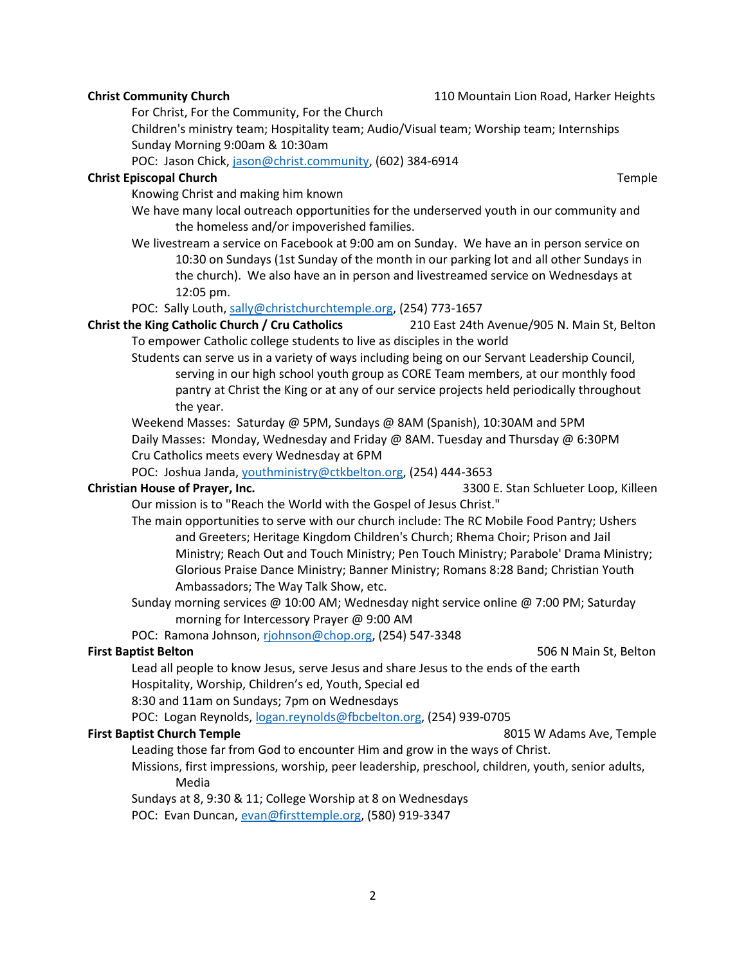**Christ Community Church** 110 Mountain Lion Road, Harker Heights

For Christ, For the Community, For the Church

Children's ministry team; Hospitality team; Audio/Visual team; Worship team; Internships Sunday Morning 9:00am & 10:30am

POC: Jason Chick, [jason@christ.community,](mailto:jason@christ.community) (602) 384-6914

#### **Christ Episcopal Church** Temple

Knowing Christ and making him known

- We have many local outreach opportunities for the underserved youth in our community and the homeless and/or impoverished families.
- We livestream a service on Facebook at 9:00 am on Sunday. We have an in person service on 10:30 on Sundays (1st Sunday of the month in our parking lot and all other Sundays in the church). We also have an in person and livestreamed service on Wednesdays at 12:05 pm.

POC: Sally Louth[, sally@christchurchtemple.org,](mailto:sally@christchurchtemple.org) (254) 773-1657

#### **Christ the King Catholic Church / Cru Catholics** 210 East 24th Avenue/905 N. Main St, Belton To empower Catholic college students to live as disciples in the world

Students can serve us in a variety of ways including being on our Servant Leadership Council, serving in our high school youth group as CORE Team members, at our monthly food pantry at Christ the King or at any of our service projects held periodically throughout the year.

Weekend Masses: Saturday @ 5PM, Sundays @ 8AM (Spanish), 10:30AM and 5PM Daily Masses: Monday, Wednesday and Friday @ 8AM. Tuesday and Thursday @ 6:30PM Cru Catholics meets every Wednesday at 6PM

POC: Joshua Janda[, youthministry@ctkbelton.org,](mailto:youthministry@ctkbelton.org) (254) 444-3653

**Christian House of Prayer, Inc.** 3300 E. Stan Schlueter Loop, Killeen

Our mission is to "Reach the World with the Gospel of Jesus Christ."

- The main opportunities to serve with our church include: The RC Mobile Food Pantry; Ushers and Greeters; Heritage Kingdom Children's Church; Rhema Choir; Prison and Jail Ministry; Reach Out and Touch Ministry; Pen Touch Ministry; Parabole' Drama Ministry; Glorious Praise Dance Ministry; Banner Ministry; Romans 8:28 Band; Christian Youth Ambassadors; The Way Talk Show, etc.
- Sunday morning services @ 10:00 AM; Wednesday night service online @ 7:00 PM; Saturday morning for Intercessory Prayer @ 9:00 AM

POC: Ramona Johnson, [rjohnson@chop.org,](mailto:rjohnson@chop.org) (254) 547-3348

**First Baptist Belton** 506 N Main St, Belton

Lead all people to know Jesus, serve Jesus and share Jesus to the ends of the earth Hospitality, Worship, Children's ed, Youth, Special ed

8:30 and 11am on Sundays; 7pm on Wednesdays

POC: Logan Reynolds[, logan.reynolds@fbcbelton.org,](mailto:logan.reynolds@fbcbelton.org) (254) 939-0705

### **First Baptist Church Temple All and South Area and South Adams Ave, Temple 8015 W Adams Ave, Temple**

- Leading those far from God to encounter Him and grow in the ways of Christ.
- Missions, first impressions, worship, peer leadership, preschool, children, youth, senior adults, Media

Sundays at 8, 9:30 & 11; College Worship at 8 on Wednesdays

POC: Evan Duncan, [evan@firsttemple.org,](mailto:evan@firsttemple.org) (580) 919-3347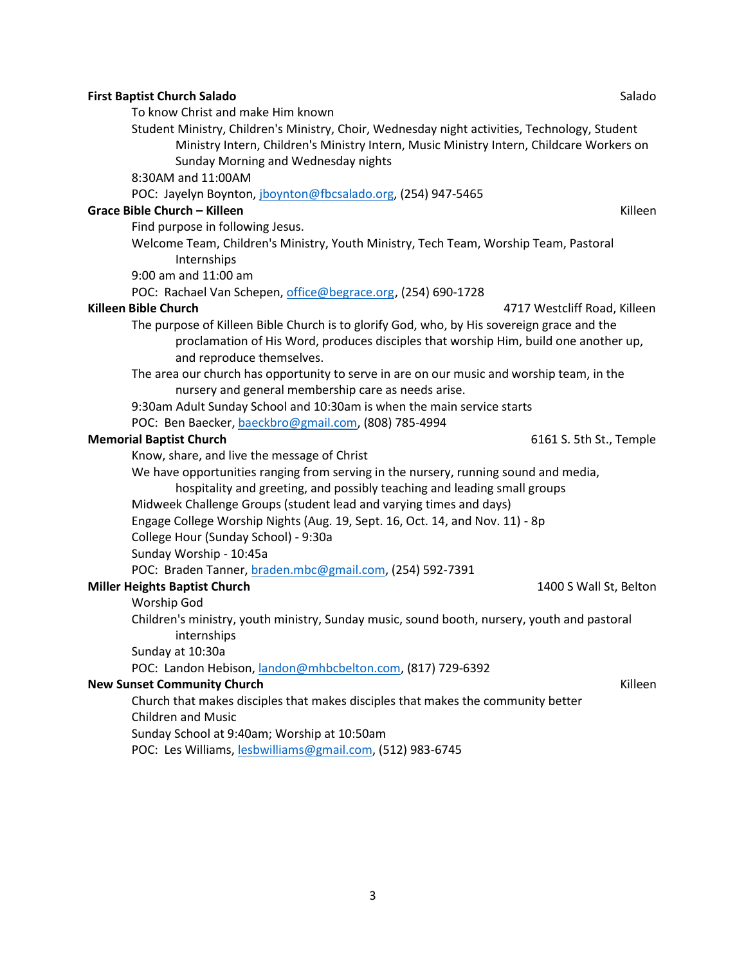| <b>First Baptist Church Salado</b>                                                                                                                                                                                             | Salado                       |
|--------------------------------------------------------------------------------------------------------------------------------------------------------------------------------------------------------------------------------|------------------------------|
| To know Christ and make Him known<br>Student Ministry, Children's Ministry, Choir, Wednesday night activities, Technology, Student<br>Ministry Intern, Children's Ministry Intern, Music Ministry Intern, Childcare Workers on |                              |
| Sunday Morning and Wednesday nights                                                                                                                                                                                            |                              |
| 8:30AM and 11:00AM                                                                                                                                                                                                             |                              |
| POC: Jayelyn Boynton, jboynton@fbcsalado.org, (254) 947-5465                                                                                                                                                                   |                              |
| <b>Grace Bible Church - Killeen</b>                                                                                                                                                                                            | Killeen                      |
| Find purpose in following Jesus.                                                                                                                                                                                               |                              |
| Welcome Team, Children's Ministry, Youth Ministry, Tech Team, Worship Team, Pastoral<br>Internships                                                                                                                            |                              |
| 9:00 am and 11:00 am                                                                                                                                                                                                           |                              |
| POC: Rachael Van Schepen, office@begrace.org, (254) 690-1728                                                                                                                                                                   |                              |
| <b>Killeen Bible Church</b>                                                                                                                                                                                                    | 4717 Westcliff Road, Killeen |
| The purpose of Killeen Bible Church is to glorify God, who, by His sovereign grace and the<br>proclamation of His Word, produces disciples that worship Him, build one another up,<br>and reproduce themselves.                |                              |
| The area our church has opportunity to serve in are on our music and worship team, in the                                                                                                                                      |                              |
| nursery and general membership care as needs arise.                                                                                                                                                                            |                              |
| 9:30am Adult Sunday School and 10:30am is when the main service starts                                                                                                                                                         |                              |
| POC: Ben Baecker, baeckbro@gmail.com, (808) 785-4994                                                                                                                                                                           |                              |
| <b>Memorial Baptist Church</b>                                                                                                                                                                                                 | 6161 S. 5th St., Temple      |
| Know, share, and live the message of Christ                                                                                                                                                                                    |                              |
| We have opportunities ranging from serving in the nursery, running sound and media,                                                                                                                                            |                              |
| hospitality and greeting, and possibly teaching and leading small groups                                                                                                                                                       |                              |
| Midweek Challenge Groups (student lead and varying times and days)                                                                                                                                                             |                              |
| Engage College Worship Nights (Aug. 19, Sept. 16, Oct. 14, and Nov. 11) - 8p                                                                                                                                                   |                              |
| College Hour (Sunday School) - 9:30a                                                                                                                                                                                           |                              |
| Sunday Worship - 10:45a                                                                                                                                                                                                        |                              |
| POC: Braden Tanner, braden.mbc@gmail.com, (254) 592-7391                                                                                                                                                                       |                              |
| <b>Miller Heights Baptist Church</b>                                                                                                                                                                                           | 1400 S Wall St, Belton       |
| Worship God                                                                                                                                                                                                                    |                              |
| Children's ministry, youth ministry, Sunday music, sound booth, nursery, youth and pastoral                                                                                                                                    |                              |
| internships                                                                                                                                                                                                                    |                              |
| Sunday at 10:30a                                                                                                                                                                                                               |                              |
| POC: Landon Hebison, <i>landon@mhbcbelton.com</i> , (817) 729-6392                                                                                                                                                             |                              |
| <b>New Sunset Community Church</b>                                                                                                                                                                                             | Killeen                      |
| Church that makes disciples that makes disciples that makes the community better<br><b>Children and Music</b>                                                                                                                  |                              |
| Sunday School at 9:40am; Worship at 10:50am                                                                                                                                                                                    |                              |
| POC: Les Williams, lesbwilliams@gmail.com, (512) 983-6745                                                                                                                                                                      |                              |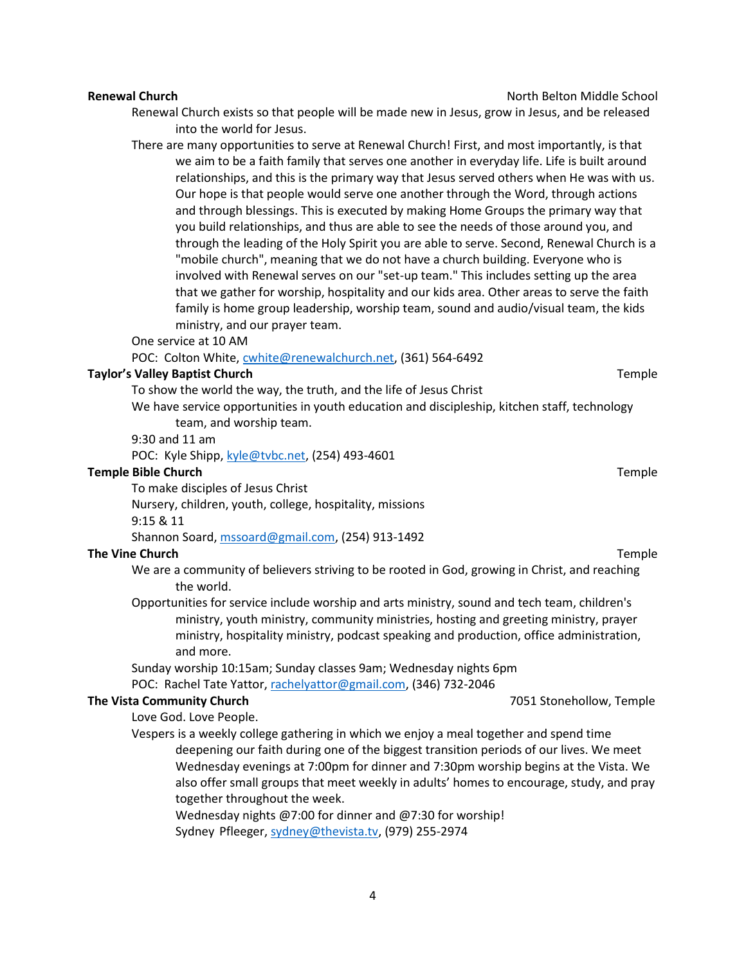Renewal Church exists so that people will be made new in Jesus, grow in Jesus, and be released into the world for Jesus.

There are many opportunities to serve at Renewal Church! First, and most importantly, is that we aim to be a faith family that serves one another in everyday life. Life is built around relationships, and this is the primary way that Jesus served others when He was with us. Our hope is that people would serve one another through the Word, through actions and through blessings. This is executed by making Home Groups the primary way that you build relationships, and thus are able to see the needs of those around you, and through the leading of the Holy Spirit you are able to serve. Second, Renewal Church is a "mobile church", meaning that we do not have a church building. Everyone who is involved with Renewal serves on our "set-up team." This includes setting up the area that we gather for worship, hospitality and our kids area. Other areas to serve the faith family is home group leadership, worship team, sound and audio/visual team, the kids ministry, and our prayer team.

One service at 10 AM

POC: Colton White, [cwhite@renewalchurch.net,](mailto:cwhite@renewalchurch.net) (361) 564-6492

#### **Taylor's Valley Baptist Church** The Communication of the Communication of the Temple

To show the world the way, the truth, and the life of Jesus Christ

We have service opportunities in youth education and discipleship, kitchen staff, technology team, and worship team.

9:30 and 11 am

POC: Kyle Shipp, [kyle@tvbc.net,](mailto:kyle@tvbc.net) (254) 493-4601

#### **Temple Bible Church** Temple

To make disciples of Jesus Christ

Nursery, children, youth, college, hospitality, missions 9:15 & 11

Shannon Soard[, mssoard@gmail.com,](mailto:mssoard@gmail.com) (254) 913-1492

#### **The Vine Church** Temple

- We are a community of believers striving to be rooted in God, growing in Christ, and reaching the world.
- Opportunities for service include worship and arts ministry, sound and tech team, children's ministry, youth ministry, community ministries, hosting and greeting ministry, prayer ministry, hospitality ministry, podcast speaking and production, office administration, and more.

Sunday worship 10:15am; Sunday classes 9am; Wednesday nights 6pm

POC: Rachel Tate Yattor, [rachelyattor@gmail.com,](mailto:rachelyattor@gmail.com) (346) 732-2046

#### **The Vista Community Church** 7051 Stonehollow, Temple

Love God. Love People.

Vespers is a weekly college gathering in which we enjoy a meal together and spend time deepening our faith during one of the biggest transition periods of our lives. We meet Wednesday evenings at 7:00pm for dinner and 7:30pm worship begins at the Vista. We also offer small groups that meet weekly in adults' homes to encourage, study, and pray together throughout the week.

Wednesday nights @7:00 for dinner and @7:30 for worship! Sydney Pfleeger, [sydney@thevista.tv,](mailto:sydney@thevista.tv) (979) 255-2974

**Renewal Church** North Belton Middle School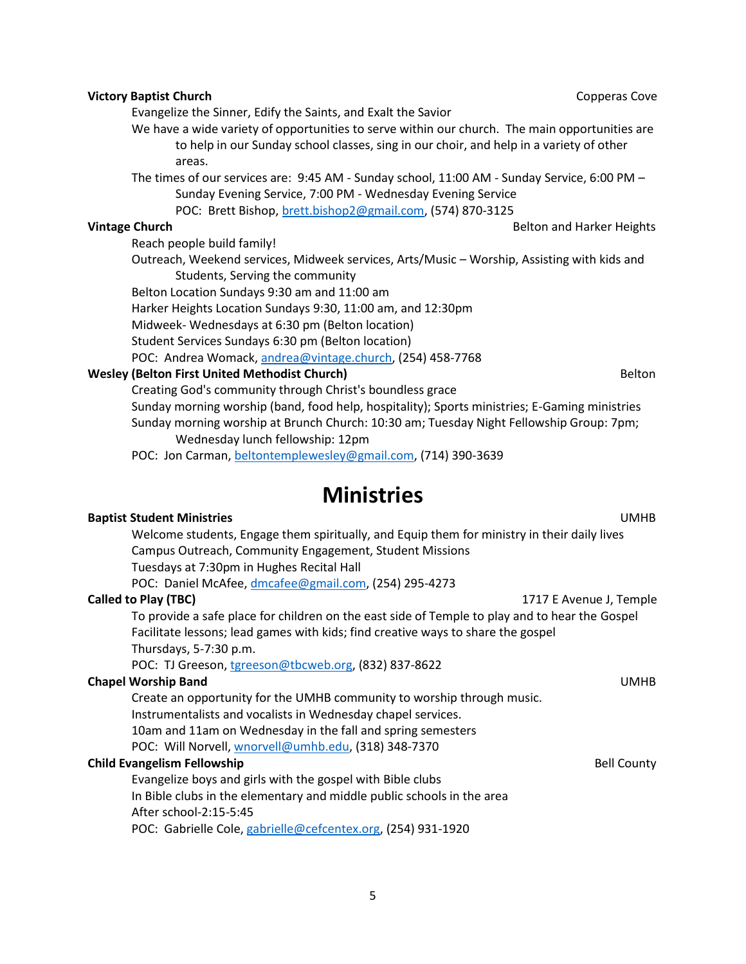### **Vintage Church** Belton and Harker Heights **Belton and Harker Heights Belton** and Harker Heights Reach people build family! Outreach, Weekend services, Midweek services, Arts/Music – Worship, Assisting with kids and Students, Serving the community Belton Location Sundays 9:30 am and 11:00 am Harker Heights Location Sundays 9:30, 11:00 am, and 12:30pm Midweek- Wednesdays at 6:30 pm (Belton location) Student Services Sundays 6:30 pm (Belton location) POC: Andrea Womack, [andrea@vintage.church,](mailto:andrea@vintage.church) (254) 458-7768 **Wesley (Belton First United Methodist Church)** Belton Belton Belton Belton Belton

Creating God's community through Christ's boundless grace Sunday morning worship (band, food help, hospitality); Sports ministries; E-Gaming ministries Sunday morning worship at Brunch Church: 10:30 am; Tuesday Night Fellowship Group: 7pm; Wednesday lunch fellowship: 12pm

POC: Jon Carman, [beltontemplewesley@gmail.com,](mailto:beltontemplewesley@gmail.com) (714) 390-3639

# **Ministries**

### **Baptist Student Ministries** UMHB Welcome students, Engage them spiritually, and Equip them for ministry in their daily lives Campus Outreach, Community Engagement, Student Missions Tuesdays at 7:30pm in Hughes Recital Hall POC: Daniel McAfee[, dmcafee@gmail.com,](mailto:dmcafee@gmail.com) (254) 295-4273 **Called to Play (TBC)** 1717 E Avenue J, Temple To provide a safe place for children on the east side of Temple to play and to hear the Gospel Facilitate lessons; lead games with kids; find creative ways to share the gospel Thursdays, 5-7:30 p.m. POC: TJ Greeson, [tgreeson@tbcweb.org,](mailto:tgreeson@tbcweb.org) (832) 837-8622 **Chapel Worship Band** UMHB Create an opportunity for the UMHB community to worship through music. Instrumentalists and vocalists in Wednesday chapel services. 10am and 11am on Wednesday in the fall and spring semesters POC: Will Norvell, [wnorvell@umhb.edu,](mailto:wnorvell@umhb.edu) (318) 348-7370 **Child Evangelism Fellowship Bell County Bell County Bell County Bell County** Evangelize boys and girls with the gospel with Bible clubs In Bible clubs in the elementary and middle public schools in the area After school-2:15-5:45 POC: Gabrielle Cole[, gabrielle@cefcentex.org,](mailto:gabrielle@cefcentex.org) (254) 931-1920

**Victory Baptist Church** Component Component Component Component Component Component Component Component Component

Evangelize the Sinner, Edify the Saints, and Exalt the Savior

We have a wide variety of opportunities to serve within our church. The main opportunities are to help in our Sunday school classes, sing in our choir, and help in a variety of other areas.

The times of our services are: 9:45 AM - Sunday school, 11:00 AM - Sunday Service, 6:00 PM – Sunday Evening Service, 7:00 PM - Wednesday Evening Service

POC: Brett Bishop, [brett.bishop2@gmail.com,](mailto:brett.bishop2@gmail.com) (574) 870-3125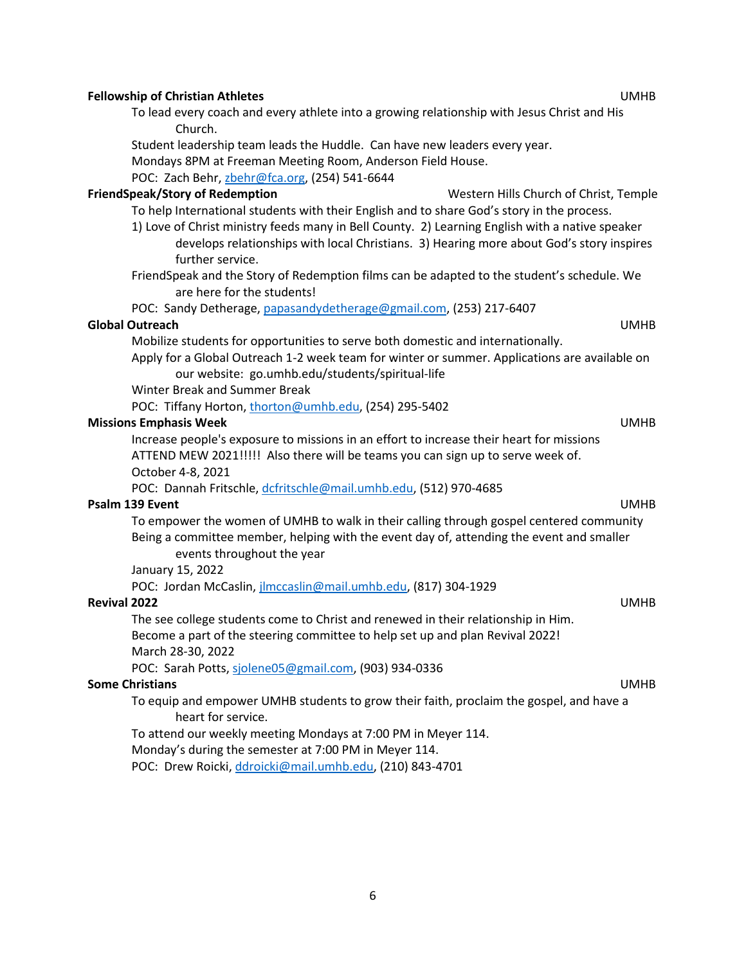#### **Fellowship of Christian Athletes** UMHB

To lead every coach and every athlete into a growing relationship with Jesus Christ and His Church.

Student leadership team leads the Huddle. Can have new leaders every year. Mondays 8PM at Freeman Meeting Room, Anderson Field House. POC: Zach Behr[, zbehr@fca.org,](mailto:zbehr@fca.org) (254) 541-6644

#### **FriendSpeak/Story of Redemption** Western Hills Church of Christ, Temple

To help International students with their English and to share God's story in the process.

- 1) Love of Christ ministry feeds many in Bell County. 2) Learning English with a native speaker develops relationships with local Christians. 3) Hearing more about God's story inspires further service.
- FriendSpeak and the Story of Redemption films can be adapted to the student's schedule. We are here for the students!

POC: Sandy Detherage, [papasandydetherage@gmail.com,](mailto:papasandydetherage@gmail.com) (253) 217-6407

#### **Global Outreach** UMHB

Mobilize students for opportunities to serve both domestic and internationally.

Apply for a Global Outreach 1-2 week team for winter or summer. Applications are available on our website: go.umhb.edu/students/spiritual-life

Winter Break and Summer Break

POC: Tiffany Horton, [thorton@umhb.edu,](mailto:thorton@umhb.edu) (254) 295-5402

#### **Missions Emphasis Week** UMHB

Increase people's exposure to missions in an effort to increase their heart for missions ATTEND MEW 2021!!!!! Also there will be teams you can sign up to serve week of. October 4-8, 2021

POC: Dannah Fritschle, [dcfritschle@mail.umhb.edu,](mailto:dcfritschle@mail.umhb.edu) (512) 970-4685

### **Psalm 139 Event** UMHB

To empower the women of UMHB to walk in their calling through gospel centered community Being a committee member, helping with the event day of, attending the event and smaller events throughout the year

January 15, 2022

POC: Jordan McCaslin, [jlmccaslin@mail.umhb.edu,](mailto:jlmccaslin@mail.umhb.edu) (817) 304-1929

#### **Revival 2022** UMHB

The see college students come to Christ and renewed in their relationship in Him. Become a part of the steering committee to help set up and plan Revival 2022! March 28-30, 2022

POC: Sarah Potts, [sjolene05@gmail.com,](mailto:sjolene05@gmail.com) (903) 934-0336

#### **Some Christians** UMHB

To equip and empower UMHB students to grow their faith, proclaim the gospel, and have a heart for service.

To attend our weekly meeting Mondays at 7:00 PM in Meyer 114.

Monday's during the semester at 7:00 PM in Meyer 114.

POC: Drew Roicki, [ddroicki@mail.umhb.edu,](mailto:ddroicki@mail.umhb.edu) (210) 843-4701